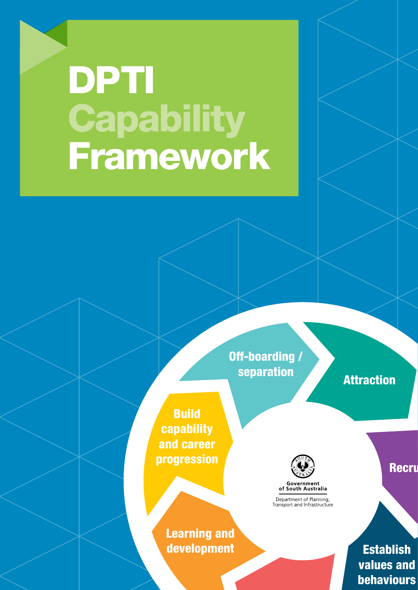# DPTI **Capability** Framework

Off-boarding / separation **Attraction** 

Build capability and career progression



Government<br>of South Australia

Recru

Establish values and behaviours

Learning and development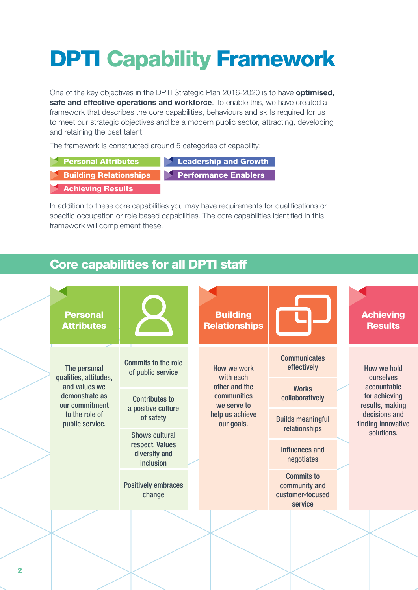## DPTI Capability Framework

One of the key objectives in the DPTI Strategic Plan 2016-2020 is to have **optimised, safe and effective operations and workforce**. To enable this, we have created a framework that describes the core capabilities, behaviours and skills required for us to meet our strategic objectives and be a modern public sector, attracting, developing and retaining the best talent.

The framework is constructed around 5 categories of capability:

Building Relationships Personal Attributes Achieving Results **Leadership and Growth Performance Enablers** 

In addition to these core capabilities you may have requirements for qualifications or specific occupation or role based capabilities. The core capabilities identified in this framework will complement these.

### Core capabilities for all DPTI staff

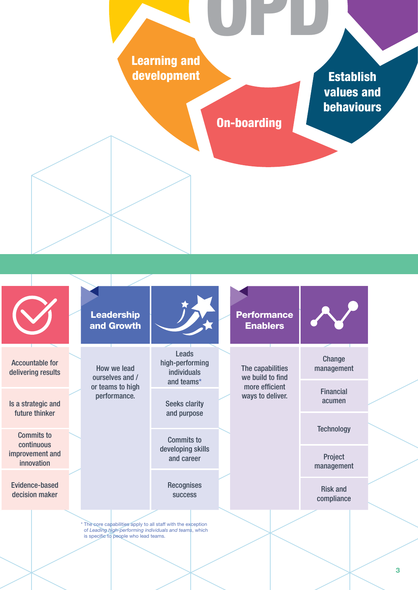Learning and development

**Establish** values and behaviours

On-boarding

progression OPD

\* The core capabilities apply to all staff with the exception of *Leading high-performing individuals and teams*, which is specific to people who lead teams. Accountable for delivering results Is a strategic and future thinker Commits to continuous improvement and innovation Evidence-based decision maker Leads high-performing individuals and teams\* Seeks clarity and purpose Commits to developing skills and career **Recognises** success How we lead ourselves and / or teams to high performance. Leadership and Growth The capabilities we build to find more efficient ways to deliver. **Performance** Enablers **Change** management Financial acumen **Technology** Project management Risk and compliance

#### 3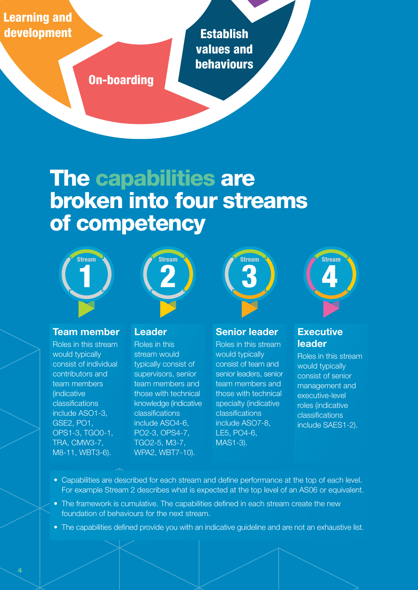Learning and development

**Establish** values and behaviours

On-boarding

progression of the contract of the contract of the contract of the contract of the contract of the contract of

### The capabilities are broken into four streams of competency





#### **Team member**

Roles in this stream would typically consist of individual contributors and team members (indicative classifications include ASO1-3, GSE2, PO1, OPS1-3, TGO0-1, TRA, CMW3-7, M8-11, WBT3-6).

#### **Leader**

Roles in this stream would typically consist of supervisors, senior team members and those with technical knowledge (indicative classifications include ASO4-6, PO2-3, OPS4-7, TGO2-5, M3-7, WPA2, WBT7-10).





#### **Senior leader**

Roles in this stream would typically consist of team and senior leaders, senior team members and those with technical specialty (indicative classifications include ASO7-8, LE5, PO4-6, MAS1-3).

#### **Executive leader**

Roles in this stream would typically consist of senior management and executive-level roles (indicative classifications include SAES1-2).

- Capabilities are described for each stream and define performance at the top of each level. For example Stream 2 describes what is expected at the top level of an AS06 or equivalent.
- The framework is cumulative. The capabilities defined in each stream create the new foundation of behaviours for the next stream.
- The capabilities defined provide you with an indicative guideline and are not an exhaustive list.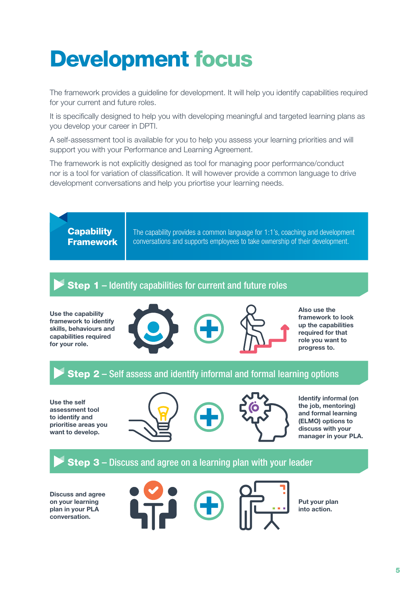### Development focus

The framework provides a guideline for development. It will help you identify capabilities required for your current and future roles.

It is specifically designed to help you with developing meaningful and targeted learning plans as you develop your career in DPTI.

A self-assessment tool is available for you to help you assess your learning priorities and will support you with your Performance and Learning Agreement.

The framework is not explicitly designed as tool for managing poor performance/conduct nor is a tool for variation of classification. It will however provide a common language to drive development conversations and help you priortise your learning needs.



**Use the capability framework to identify skills, behaviours and capabilities required for your role.**



**Also use the framework to look up the capabilities required for that role you want to progress to.**

#### Step 2 – Self assess and identify informal and formal learning options

**Use the self assessment tool to identify and prioritise areas you want to develop.**





**Identify informal (on the job, mentoring) and formal learning (ELMO) options to discuss with your manager in your PLA.**

#### Step 3 – Discuss and agree on a learning plan with your leader

**Discuss and agree on your learning plan in your PLA conversation.**





**Put your plan into action.**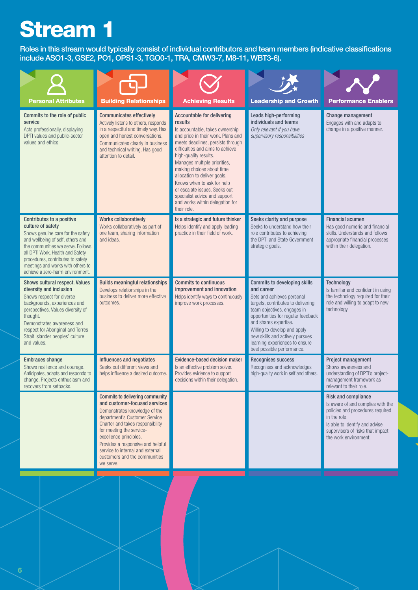Roles in this stream would typically consist of individual contributors and team members (indicative classifications include ASO1-3, GSE2, PO1, OPS1-3, TGO0-1, TRA, CMW3-7, M8-11, WBT3-6).

| <b>Personal Attributes</b>                                                                                                                                                                                                                                                                                      | <b>Building Relationships</b>                                                                                                                                                                                                                                                                                                                              | <b>Achieving Results</b>                                                                                                                                                                                                                                                                                                                                                                                                                                               | <b>Leadership and Growth</b>                                                                                                                                                                                                                                                                                                                           | <b>Performance Enablers</b>                                                                                                                                                                                        |
|-----------------------------------------------------------------------------------------------------------------------------------------------------------------------------------------------------------------------------------------------------------------------------------------------------------------|------------------------------------------------------------------------------------------------------------------------------------------------------------------------------------------------------------------------------------------------------------------------------------------------------------------------------------------------------------|------------------------------------------------------------------------------------------------------------------------------------------------------------------------------------------------------------------------------------------------------------------------------------------------------------------------------------------------------------------------------------------------------------------------------------------------------------------------|--------------------------------------------------------------------------------------------------------------------------------------------------------------------------------------------------------------------------------------------------------------------------------------------------------------------------------------------------------|--------------------------------------------------------------------------------------------------------------------------------------------------------------------------------------------------------------------|
| Commits to the role of public<br>service<br>Acts professionally, displaying<br>DPTI values and public-sector<br>values and ethics.                                                                                                                                                                              | <b>Communicates effectively</b><br>Actively listens to others, responds<br>in a respectful and timely way. Has<br>open and honest conversations.<br>Communicates clearly in business<br>and technical writing. Has good<br>attention to detail.                                                                                                            | <b>Accountable for delivering</b><br>results<br>Is accountable, takes ownership<br>and pride in their work. Plans and<br>meets deadlines, persists through<br>difficulties and aims to achieve<br>high-quality results.<br>Manages multiple priorities,<br>making choices about time<br>allocation to deliver goals.<br>Knows when to ask for help<br>or escalate issues. Seeks out<br>specialist advice and support<br>and works within delegation for<br>their role. | Leads high-performing<br>individuals and teams<br>Only relevant if you have<br>supervisory responsibilities                                                                                                                                                                                                                                            | Change management<br>Engages with and adapts to<br>change in a positive manner.                                                                                                                                    |
| Contributes to a positive<br>culture of safety<br>Shows genuine care for the safety<br>and wellbeing of self, others and<br>the communities we serve. Follows<br>all DPTI Work. Health and Safety<br>procedures, contributes to safety<br>meetings and works with others to<br>achieve a zero-harm environment. | <b>Works collaboratively</b><br>Works collaboratively as part of<br>one team, sharing information<br>and ideas.                                                                                                                                                                                                                                            | Is a strategic and future thinker<br>Helps identify and apply leading<br>practice in their field of work.                                                                                                                                                                                                                                                                                                                                                              | Seeks clarity and purpose<br>Seeks to understand how their<br>role contributes to achieving<br>the DPTI and State Government<br>strategic goals.                                                                                                                                                                                                       | <b>Financial acumen</b><br>Has good numeric and financial<br>skills. Understands and follows<br>appropriate financial processes<br>within their delegation.                                                        |
| Shows cultural respect. Values<br>diversity and inclusion<br>Shows respect for diverse<br>backgrounds, experiences and<br>perspectives. Values diversity of<br>thought.<br>Demonstrates awareness and<br>respect for Aboriginal and Torres<br>Strait Islander peoples' culture<br>and values.                   | <b>Builds meaningful relationships</b><br>Develops relationships in the<br>business to deliver more effective<br>outcomes.                                                                                                                                                                                                                                 | <b>Commits to continuous</b><br>improvement and innovation<br>Helps identify ways to continuously<br>improve work processes.                                                                                                                                                                                                                                                                                                                                           | <b>Commits to developing skills</b><br>and career<br>Sets and achieves personal<br>targets, contributes to delivering<br>team objectives, engages in<br>opportunities for regular feedback<br>and shares expertise.<br>Willing to develop and apply<br>new skills and actively pursues<br>learning experiences to ensure<br>best possible performance. | <b>Technology</b><br>Is familiar and confident in using<br>the technology required for their<br>role and willing to adapt to new<br>technology.                                                                    |
| <b>Embraces change</b><br>Shows resilience and courage.<br>Anticipates, adapts and responds to<br>change. Projects enthusiasm and<br>recovers from setbacks.                                                                                                                                                    | Influences and negotiates<br>Seeks out different views and<br>helps influence a desired outcome.                                                                                                                                                                                                                                                           | Evidence-based decision maker<br>Is an effective problem solver.<br>Provides evidence to support<br>decisions within their delegation.                                                                                                                                                                                                                                                                                                                                 | <b>Recognises success</b><br>Recognises and acknowledges<br>high-quality work in self and others.                                                                                                                                                                                                                                                      | Project management<br>Shows awareness and<br>understanding of DPTI's project-<br>management framework as<br>relevant to their role.                                                                                |
|                                                                                                                                                                                                                                                                                                                 | <b>Commits to delivering community</b><br>and customer-focused services<br>Demonstrates knowledge of the<br>department's Customer Service<br>Charter and takes responsibility<br>for meeting the service-<br>excellence principles.<br>Provides a responsive and helpful<br>service to internal and external<br>customers and the communities<br>we serve. |                                                                                                                                                                                                                                                                                                                                                                                                                                                                        |                                                                                                                                                                                                                                                                                                                                                        | <b>Risk and compliance</b><br>Is aware of and complies with the<br>policies and procedures required<br>in the role.<br>Is able to identify and advise<br>supervisors of risks that impact<br>the work environment. |
|                                                                                                                                                                                                                                                                                                                 |                                                                                                                                                                                                                                                                                                                                                            |                                                                                                                                                                                                                                                                                                                                                                                                                                                                        |                                                                                                                                                                                                                                                                                                                                                        |                                                                                                                                                                                                                    |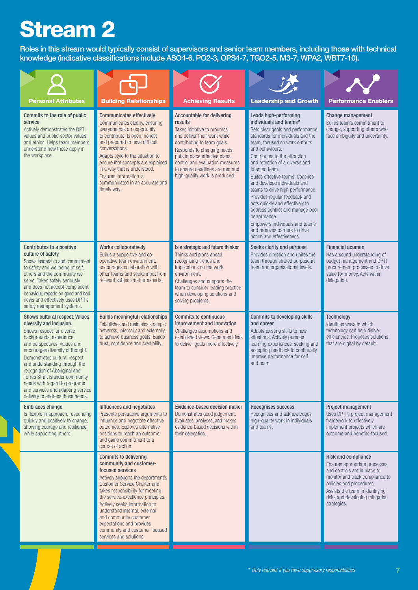Roles in this stream would typically consist of supervisors and senior team members, including those with technical knowledge (indicative classifications include ASO4-6, PO2-3, OPS4-7, TGO2-5, M3-7, WPA2, WBT7-10).

| <b>Personal Attributes</b>                                                                                                                                                                                                                                                                                                                                                                                                              | <b>Building Relationships</b>                                                                                                                                                                                                                                                                                                                                                                                            | <b>Achieving Results</b>                                                                                                                                                                                                                                                                                             | <b>Leadership and Growth</b>                                                                                                                                                                                                                                                                                                                                                                                                                                                                                                                                                                     | <b>Performance Enablers</b>                                                                                                                                                                                                                     |
|-----------------------------------------------------------------------------------------------------------------------------------------------------------------------------------------------------------------------------------------------------------------------------------------------------------------------------------------------------------------------------------------------------------------------------------------|--------------------------------------------------------------------------------------------------------------------------------------------------------------------------------------------------------------------------------------------------------------------------------------------------------------------------------------------------------------------------------------------------------------------------|----------------------------------------------------------------------------------------------------------------------------------------------------------------------------------------------------------------------------------------------------------------------------------------------------------------------|--------------------------------------------------------------------------------------------------------------------------------------------------------------------------------------------------------------------------------------------------------------------------------------------------------------------------------------------------------------------------------------------------------------------------------------------------------------------------------------------------------------------------------------------------------------------------------------------------|-------------------------------------------------------------------------------------------------------------------------------------------------------------------------------------------------------------------------------------------------|
| Commits to the role of public<br>service<br>Actively demonstrates the DPTI<br>values and public-sector values<br>and ethics. Helps team members<br>understand how these apply in<br>the workplace.                                                                                                                                                                                                                                      | <b>Communicates effectively</b><br>Communicates clearly, ensuring<br>everyone has an opportunity<br>to contribute. Is open, honest<br>and prepared to have difficult<br>conversations.<br>Adapts style to the situation to<br>ensure that concepts are explained<br>in a way that is understood.<br>Ensures information is<br>communicated in an accurate and<br>timely way.                                             | <b>Accountable for delivering</b><br>results<br>Takes initiative to progress<br>and deliver their work while<br>contributing to team goals.<br>Responds to changing needs,<br>puts in place effective plans,<br>control and evaluation measures<br>to ensure deadlines are met and<br>high-quality work is produced. | Leads high-performing<br>individuals and teams*<br>Sets clear goals and performance<br>standards for individuals and the<br>team, focused on work outputs<br>and behaviours.<br>Contributes to the attraction<br>and retention of a diverse and<br>talented team.<br>Builds effective teams. Coaches<br>and develops individuals and<br>teams to drive high performance.<br>Provides regular feedback and<br>acts quickly and effectively to<br>address conflict and manage poor<br>performance.<br>Empowers individuals and teams<br>and removes barriers to drive<br>action and effectiveness. | Change management<br>Builds team's commitment to<br>change, supporting others who<br>face ambiguity and uncertainty.                                                                                                                            |
| Contributes to a positive<br>culture of safety<br>Shows leadership and commitment<br>to safety and wellbeing of self,<br>others and the community we<br>serve. Takes safety seriously<br>and does not accept complacent<br>behaviour, reports on good and bad<br>news and effectively uses DPTI's<br>safety management systems.                                                                                                         | <b>Works collaboratively</b><br>Builds a supportive and co-<br>operative team environment,<br>encourages collaboration with<br>other teams and seeks input from<br>relevant subject-matter experts.                                                                                                                                                                                                                      | Is a strategic and future thinker<br>Thinks and plans ahead,<br>recognising trends and<br>implications on the work<br>environment.<br>Challenges and supports the<br>team to consider leading practice<br>when developing solutions and<br>solving problems.                                                         | Seeks clarity and purpose<br>Provides direction and unites the<br>team through shared purpose at<br>team and organisational levels.                                                                                                                                                                                                                                                                                                                                                                                                                                                              | <b>Financial acumen</b><br>Has a sound understanding of<br>budget management and DPTI<br>procurement processes to drive<br>value for money. Acts within<br>delegation.                                                                          |
| Shows cultural respect. Values<br>diversity and inclusion.<br>Shows respect for diverse<br>backgrounds, experience<br>and perspectives. Values and<br>encourages diversity of thought.<br>Demonstrates cultural respect<br>and understanding through the<br>recognition of Aboriginal and<br>Torres Strait Islander community<br>needs with regard to programs<br>and services and adapting service<br>delivery to address those needs. | <b>Builds meaningful relationships</b><br>Establishes and maintains strategic<br>networks, internally and externally,<br>to achieve business goals. Builds<br>trust, confidence and credibility.                                                                                                                                                                                                                         | <b>Commits to continuous</b><br>improvement and innovation<br>Challenges assumptions and<br>established views. Generates ideas<br>to deliver goals more effectively.                                                                                                                                                 | <b>Commits to developing skills</b><br>and career<br>Adapts existing skills to new<br>situations. Actively pursues<br>learning experiences, seeking and<br>accepting feedback to continually<br>improve performance for self<br>and team.                                                                                                                                                                                                                                                                                                                                                        | <b>Technology</b><br>Identifies ways in which<br>technology can help deliver<br>efficiencies. Proposes solutions<br>that are digital by default.                                                                                                |
| <b>Embraces change</b><br>Is flexible in approach, responding<br>quickly and positively to change,<br>showing courage and resilience<br>while supporting others.                                                                                                                                                                                                                                                                        | Influences and negotiates<br>Presents persuasive arguments to<br>influence and negotiate effective<br>outcomes. Explores alternative<br>positions to reach an outcome<br>and gains commitment to a<br>course of action.                                                                                                                                                                                                  | Evidence-based decision maker<br>Demonstrates good judgement.<br>Evaluates, analyses, and makes<br>evidence-based decisions within<br>their delegation.                                                                                                                                                              | <b>Recognises success</b><br>Recognises and acknowledges<br>high-quality work in individuals<br>and teams.                                                                                                                                                                                                                                                                                                                                                                                                                                                                                       | Project management<br>Uses DPTI's project management<br>framework to effectively<br>implement projects which are<br>outcome and benefits-focused.                                                                                               |
|                                                                                                                                                                                                                                                                                                                                                                                                                                         | <b>Commits to delivering</b><br>community and customer-<br>focused services<br>Actively supports the department's<br><b>Customer Service Charter and</b><br>takes responsibility for meeting<br>the service-excellence principles.<br>Actively seeks information to<br>understand internal, external<br>and community customer<br>expectations and provides<br>community and customer focused<br>services and solutions. |                                                                                                                                                                                                                                                                                                                      |                                                                                                                                                                                                                                                                                                                                                                                                                                                                                                                                                                                                  | <b>Risk and compliance</b><br>Ensures appropriate processes<br>and controls are in place to<br>monitor and track compliance to<br>policies and procedures.<br>Assists the team in identifying<br>risks and developing mitigation<br>strategies. |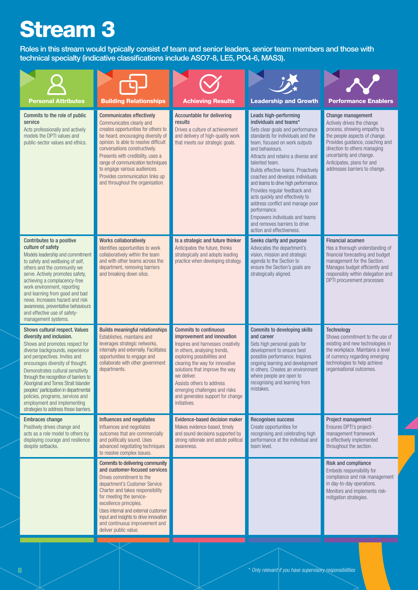Roles in this stream would typically consist of team and senior leaders, senior team members and those with technical specialty (indicative classifications include ASO7-8, LE5, PO4-6, MAS3).

| <b>Personal Attributes</b>                                                                                                                                                                                                                                                                                                                                                                                                                                                         | <b>Building Relationships</b>                                                                                                                                                                                                                                                                                                                                                                       | <b>Achieving Results</b>                                                                                                                                                                                                                                                                                                                                             | <b>Leadership and Growth</b>                                                                                                                                                                                                                                                                                                                                                                                                                                                                                                                                                    | <b>Performance Enablers</b>                                                                                                                                                                                                                                                  |
|------------------------------------------------------------------------------------------------------------------------------------------------------------------------------------------------------------------------------------------------------------------------------------------------------------------------------------------------------------------------------------------------------------------------------------------------------------------------------------|-----------------------------------------------------------------------------------------------------------------------------------------------------------------------------------------------------------------------------------------------------------------------------------------------------------------------------------------------------------------------------------------------------|----------------------------------------------------------------------------------------------------------------------------------------------------------------------------------------------------------------------------------------------------------------------------------------------------------------------------------------------------------------------|---------------------------------------------------------------------------------------------------------------------------------------------------------------------------------------------------------------------------------------------------------------------------------------------------------------------------------------------------------------------------------------------------------------------------------------------------------------------------------------------------------------------------------------------------------------------------------|------------------------------------------------------------------------------------------------------------------------------------------------------------------------------------------------------------------------------------------------------------------------------|
| Commits to the role of public<br>service<br>Acts professionally and actively<br>models the DPTI values and<br>public-sector values and ethics.                                                                                                                                                                                                                                                                                                                                     | <b>Communicates effectively</b><br>Communicates clearly and<br>creates opportunities for others to<br>be heard, encouraging diversity of<br>opinion. Is able to resolve difficult<br>conversations constructively.<br>Presents with credibility, uses a<br>range of communication techniques<br>to engage various audiences.<br>Provides communication links up<br>and throughout the organisation. | <b>Accountable for delivering</b><br>results<br>Drives a culture of achievement<br>and delivery of high-quality work<br>that meets our strategic goals.                                                                                                                                                                                                              | Leads high-performing<br>individuals and teams*<br>Sets clear goals and performance<br>standards for individuals and the<br>team, focused on work outputs<br>and behaviours.<br>Attracts and retains a diverse and<br>talented team.<br>Builds effective teams. Proactively<br>coaches and develops individuals<br>and teams to drive high performance.<br>Provides regular feedback and<br>acts quickly and effectively to<br>address conflict and manage poor<br>performance.<br>Empowers individuals and teams<br>and removes barriers to drive<br>action and effectiveness. | Change management<br>Actively drives the change<br>process, showing empathy to<br>the people aspects of change.<br>Provides guidance, coaching and<br>direction to others managing<br>uncertainty and change.<br>Anticipates, plans for and<br>addresses barriers to change. |
| Contributes to a positive<br>culture of safety<br>Models leadership and commitment<br>to safety and wellbeing of self,<br>others and the community we<br>serve. Actively promotes safety,<br>achieving a complacency-free<br>work environment, reporting<br>and learning from good and bad<br>news. Increases hazard and risk<br>awareness, preventative behaviours<br>and effective use of safety-<br>management systems.                                                         | <b>Works collaboratively</b><br>Identifies opportunities to work<br>collaboratively within the team<br>and with other teams across the<br>department, removing barriers<br>and breaking down silos.                                                                                                                                                                                                 | Is a strategic and future thinker<br>Anticipates the future, thinks<br>strategically and adopts leading<br>practice when developing strategy.                                                                                                                                                                                                                        | Seeks clarity and purpose<br>Advocates the department's<br>vision, mission and strategic<br>agenda to the Section to<br>ensure the Section's goals are<br>strategically aligned.                                                                                                                                                                                                                                                                                                                                                                                                | <b>Financial acumen</b><br>Has a thorough understanding of<br>financial forecasting and budget<br>management for the Section.<br>Manages budget efficiently and<br>responsibly within delegation and<br><b>DPTI</b> procurement processes                                    |
| Shows cultural respect. Values<br>diversity and inclusion.<br>Shows and promotes respect for<br>diverse backgrounds, experience<br>and perspectives. Invites and<br>encourages diversity of thought.<br>Demonstrates cultural sensitivity<br>through the recognition of barriers to<br>Aboriginal and Torres Strait Islander<br>peoples' participation in departmental<br>policies, programs, services and<br>employment and implementing<br>strategies to address those barriers. | <b>Builds meaningful relationships</b><br>Establishes, maintains and<br>leverages strategic networks,<br>internally and externally. Facilitates<br>opportunities to engage and<br>collaborate with other government<br>departments.                                                                                                                                                                 | <b>Commits to continuous</b><br>improvement and innovation<br>Inspires and harnesses creativity<br>in others, analysing trends,<br>exploring possibilities and<br>clearing the way for innovative<br>solutions that improve the way<br>we deliver.<br>Assists others to address<br>emerging challenges and risks<br>and generates support for change<br>initiatives. | Commits to developing skills<br>and career<br>Sets high personal goals for<br>development to ensure best<br>possible performance. Inspires<br>ongoing learning and development<br>in others. Creates an environment<br>where people are open to<br>recognising and learning from<br>mistakes.                                                                                                                                                                                                                                                                                   | <b>Technology</b><br>Shows commitment to the use of<br>existing and new technologies in<br>the workplace. Maintains a level<br>of currency regarding emerging<br>technologies to help achieve<br>organisational outcomes.                                                    |
| <b>Embraces change</b><br>Positively drives change and<br>acts as a role model to others by<br>displaying courage and resilience<br>despite setbacks.                                                                                                                                                                                                                                                                                                                              | Influences and negotiates<br>Influences and negotiates<br>outcomes that are commercially<br>and politically sound. Uses<br>advanced negotiating techniques<br>to resolve complex issues.                                                                                                                                                                                                            | Evidence-based decision maker<br>Makes evidence-based, timely<br>and sound decisions supported by<br>strong rationale and astute political<br>awareness.                                                                                                                                                                                                             | Recognises success<br>Create opportunities for<br>recognising and celebrating high<br>performance at the individual and<br>team level.                                                                                                                                                                                                                                                                                                                                                                                                                                          | Project management<br>Ensures DPTI's project-<br>management framework<br>is effectively implemented<br>throughout the section.                                                                                                                                               |
|                                                                                                                                                                                                                                                                                                                                                                                                                                                                                    | <b>Commits to delivering community</b><br>and customer-focused services<br>Drives commitment to the<br>department's Customer Service<br>Charter and takes responsibility<br>for meeting the service-<br>excellence principles.<br>Uses internal and external customer<br>input and insights to drive innovation<br>and continuous improvement and<br>deliver public value.                          |                                                                                                                                                                                                                                                                                                                                                                      |                                                                                                                                                                                                                                                                                                                                                                                                                                                                                                                                                                                 | <b>Risk and compliance</b><br>Embeds responsibility for<br>compliance and risk management<br>in day-to-day operations.<br>Monitors and implements risk-<br>mitigation strategies.                                                                                            |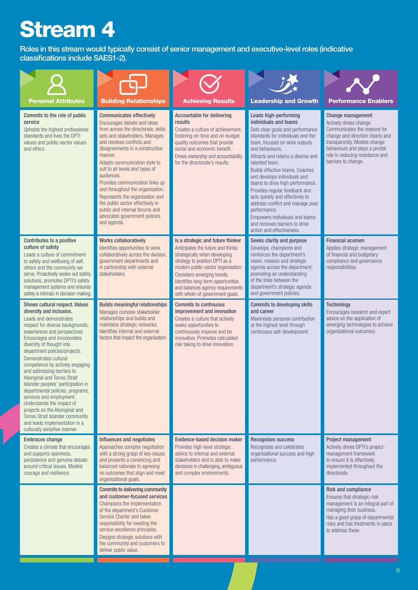Roles in this stream would typically consist of senior management and executive-level roles (indicative classifications include SAES1-2).

| <b>Personal Attributes</b>                                                                                                                                                                                                                                                                                                                                                                                                                                                                                                                                                                                                                                 | <b>Building Relationships</b>                                                                                                                                                                                                                                                                                                                                                                                                                                                                                                         | <b>Achieving Results</b>                                                                                                                                                                                                                                                                                                   | <b>Leadership and Growth</b>                                                                                                                                                                                                                                                                                                                                                                                                                                                                                                                                       | <b>Performance Enablers</b>                                                                                                                                                                                                                  |
|------------------------------------------------------------------------------------------------------------------------------------------------------------------------------------------------------------------------------------------------------------------------------------------------------------------------------------------------------------------------------------------------------------------------------------------------------------------------------------------------------------------------------------------------------------------------------------------------------------------------------------------------------------|---------------------------------------------------------------------------------------------------------------------------------------------------------------------------------------------------------------------------------------------------------------------------------------------------------------------------------------------------------------------------------------------------------------------------------------------------------------------------------------------------------------------------------------|----------------------------------------------------------------------------------------------------------------------------------------------------------------------------------------------------------------------------------------------------------------------------------------------------------------------------|--------------------------------------------------------------------------------------------------------------------------------------------------------------------------------------------------------------------------------------------------------------------------------------------------------------------------------------------------------------------------------------------------------------------------------------------------------------------------------------------------------------------------------------------------------------------|----------------------------------------------------------------------------------------------------------------------------------------------------------------------------------------------------------------------------------------------|
| Commits to the role of public<br>service<br>Upholds the highest professional<br>standards and lives the DPTI<br>values and public-sector values<br>and ethics.                                                                                                                                                                                                                                                                                                                                                                                                                                                                                             | <b>Communicates effectively</b><br>Encourages debate and ideas<br>from across the directorate, skills<br>sets and stakeholders. Manages<br>and resolves conflicts and<br>disagreements in a constructive<br>manner.<br>Adapts communication style to<br>suit to all levels and types of<br>audiences.<br>Provides communication links up<br>and throughout the organisation.<br>Represents the organisation and<br>the public sector effectively in<br>public and internal forums and<br>advocates government policies<br>and agenda. | <b>Accountable for delivering</b><br>results<br>Creates a culture of achievement,<br>fostering on-time and on-budget<br>quality outcomes that provide<br>social and economic benefit.<br>Drives ownership and accountability<br>for the directorate's results.                                                             | Leads high-performing<br>individuals and teams<br>Sets clear goals and performance<br>standards for individuals and the<br>team, focused on work outputs<br>and behaviours.<br>Attracts and retains a diverse and<br>talented team.<br>Builds effective teams. Coaches<br>and develops individuals and<br>teams to drive high performance.<br>Provides regular feedback and<br>acts quickly and effectively to<br>address conflict and manage poor<br>performance.<br>Empowers individuals and teams<br>and removes barriers to drive<br>action and effectiveness. | Change management<br>Actively drives change.<br>Communicates the reasons for<br>change and direction clearly and<br>transparently. Models change<br>behaviours and plays a pivotal<br>role in reducing resistance and<br>barriers to change. |
| Contributes to a positive<br>culture of safety<br>Leads a culture of commitment<br>to safety and wellbeing of self,<br>others and the community we<br>serve. Proactively seeks out safety<br>solutions, promotes DPTI's safety<br>management systems and ensures<br>safety is intrinsic in decision making.                                                                                                                                                                                                                                                                                                                                                | <b>Works collaboratively</b><br>Identifies opportunities to work<br>collaboratively across the division,<br>government departments and<br>in partnership with external<br>stakeholders.                                                                                                                                                                                                                                                                                                                                               | Is a strategic and future thinker<br>Anticipates the future and thinks<br>strategically when developing<br>strategy to position DPTI as a<br>modern public-sector organisation.<br>Considers emerging trends,<br>identifies long-term opportunities<br>and balances agency requirements<br>with whole-of-government goals. | Seeks clarity and purpose<br>Develops, champions and<br>reinforces the department's<br>vision, mission and strategic<br>agenda across the department,<br>promoting an understanding<br>of the links between the<br>department's strategic agenda<br>and government policies.                                                                                                                                                                                                                                                                                       | <b>Financial acumen</b><br>Applies strategic management<br>of financial and budgetary<br>compliance and governance<br>responsibilities.                                                                                                      |
| Shows cultural respect. Values<br>diversity and inclusion.<br>Leads and demonstrates<br>respect for diverse backgrounds,<br>experiences and perspectives.<br>Encourages and incorporates<br>diversity of thought into<br>department policies/projects.<br>Demonstrates cultural<br>competence by actively engaging<br>and addressing barriers to<br>Aboriginal and Torres Strait<br>Islander peoples' participation in<br>departmental policies, programs,<br>services and employment.<br>Understands the impact of<br>projects on the Aboriginal and<br>Torres Strait Islander community<br>and leads implementation in a<br>culturally sensitive manner. | <b>Builds meaningful relationships</b><br>Manages complex stakeholder<br>relationships and builds and<br>maintains strategic networks.<br>Identifies internal and external<br>factors that impact the organisation.                                                                                                                                                                                                                                                                                                                   | <b>Commits to continuous</b><br>improvement and innovation<br>Creates a culture that actively<br>seeks opportunities to<br>continuously improve and be<br>innovative. Promotes calculated<br>risk taking to drive innovation.                                                                                              | <b>Commits to developing skills</b><br>and career<br>Maximises personal contribution<br>at the highest level through<br>continuous self-development.                                                                                                                                                                                                                                                                                                                                                                                                               | <b>Technology</b><br>Encourages research and expert<br>advice on the application of<br>emerging technologies to achieve<br>organisational outcomes.                                                                                          |
| <b>Embraces change</b><br>Creates a climate that encourages<br>and supports openness,<br>persistence and genuine debate<br>around critical issues. Models<br>courage and resilience.                                                                                                                                                                                                                                                                                                                                                                                                                                                                       | Influences and negotiates<br>Approaches complex negotiation<br>with a strong grasp of key issues<br>and presents a convincing and<br>balanced rationale to agreeing<br>on outcomes that align and meet<br>organisational goals.                                                                                                                                                                                                                                                                                                       | Evidence-based decision maker<br>Provides high-level strategic<br>advice to internal and external<br>stakeholders and is able to make<br>decisions in challenging, ambiguous<br>and complex environments.                                                                                                                  | Recognises success<br>Recognises and celebrates<br>organisational success and high<br>performance.                                                                                                                                                                                                                                                                                                                                                                                                                                                                 | Project management<br>Actively drives DPTI's project-<br>management framework<br>to ensure it is effectively<br>implemented throughout the<br>directorate.                                                                                   |
|                                                                                                                                                                                                                                                                                                                                                                                                                                                                                                                                                                                                                                                            | <b>Commits to delivering community</b><br>and customer-focused services<br>Champions the implementation<br>of the department's Customer<br>Service Charter and takes<br>responsibility for meeting the<br>service excellence principles.<br>Designs strategic solutions with<br>the community and customers to<br>deliver public value.                                                                                                                                                                                               |                                                                                                                                                                                                                                                                                                                            |                                                                                                                                                                                                                                                                                                                                                                                                                                                                                                                                                                    | <b>Risk and compliance</b><br>Ensures that strategic-risk<br>management is an integral part of<br>managing their business.<br>Has a good grasp of departmental<br>risks and has treatments in place<br>to address these.                     |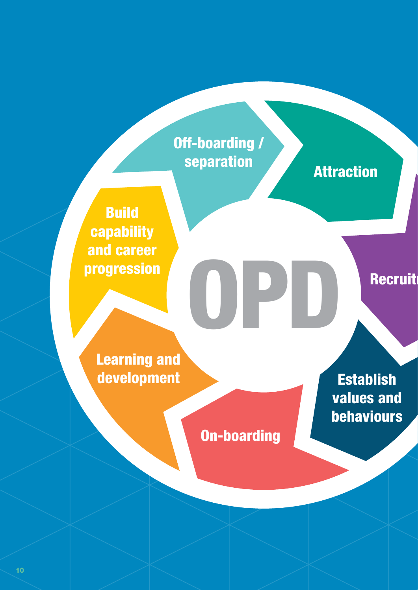### Off-boarding / separation **Attraction**

Build capability and career progression OPD

Recruit

Learning and development

On-boarding

**Establish** values and behaviours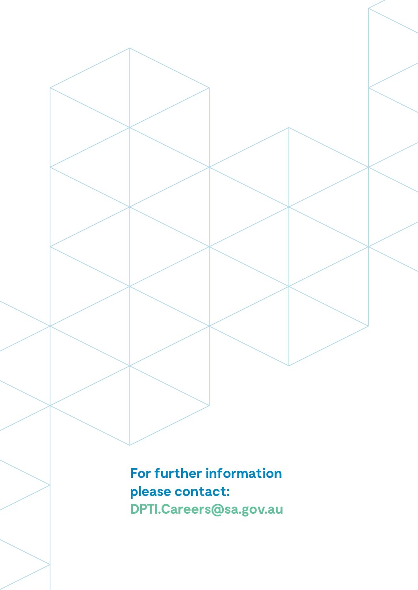**For further information please contact: DPTI.Careers@sa.gov.au**